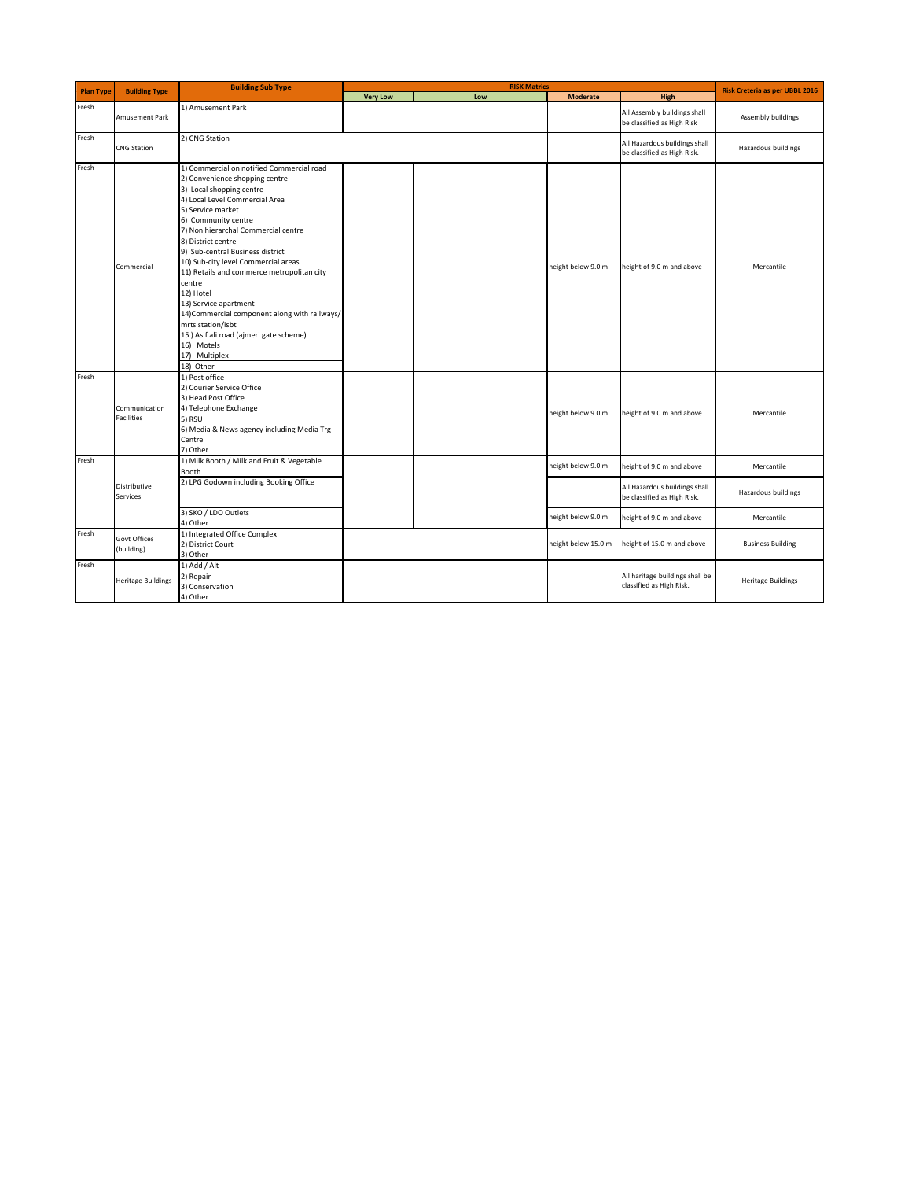| <b>Plan Type</b> | <b>Building Type</b>               | <b>Building Sub Type</b>                                                                                                                                                                                                                                                                                                                                                                                                                                                                                                                                                                | <b>RISK Matrics</b> |     |                     |                                                              | Risk Creteria as per UBBL 2016 |
|------------------|------------------------------------|-----------------------------------------------------------------------------------------------------------------------------------------------------------------------------------------------------------------------------------------------------------------------------------------------------------------------------------------------------------------------------------------------------------------------------------------------------------------------------------------------------------------------------------------------------------------------------------------|---------------------|-----|---------------------|--------------------------------------------------------------|--------------------------------|
|                  |                                    |                                                                                                                                                                                                                                                                                                                                                                                                                                                                                                                                                                                         | <b>Very Low</b>     | Low | <b>Moderate</b>     | High                                                         |                                |
| Fresh            | Amusement Park                     | 1) Amusement Park                                                                                                                                                                                                                                                                                                                                                                                                                                                                                                                                                                       |                     |     |                     | All Assembly buildings shall<br>be classified as High Risk   | Assembly buildings             |
| Fresh            | <b>CNG Station</b>                 | 2) CNG Station                                                                                                                                                                                                                                                                                                                                                                                                                                                                                                                                                                          |                     |     |                     | All Hazardous buildings shall<br>be classified as High Risk. | Hazardous buildings            |
| Fresh            | Commercial                         | 1) Commercial on notified Commercial road<br>2) Convenience shopping centre<br>3) Local shopping centre<br>4) Local Level Commercial Area<br>5) Service market<br>6) Community centre<br>7) Non hierarchal Commercial centre<br>8) District centre<br>9) Sub-central Business district<br>10) Sub-city level Commercial areas<br>11) Retails and commerce metropolitan city<br>centre<br>12) Hotel<br>13) Service apartment<br>14) Commercial component along with railways/<br>mrts station/isbt<br>15) Asif ali road (ajmeri gate scheme)<br>16) Motels<br>17) Multiplex<br>18) Other |                     |     | height below 9.0 m. | height of 9.0 m and above                                    | Mercantile                     |
| Fresh            | Communication<br><b>Facilities</b> | 1) Post office<br>2) Courier Service Office<br>3) Head Post Office<br>4) Telephone Exchange<br>5) RSU<br>6) Media & News agency including Media Trg<br>Centre<br>7) Other                                                                                                                                                                                                                                                                                                                                                                                                               |                     |     | height below 9.0 m  | height of 9.0 m and above                                    | Mercantile                     |
| Fresh            | Distributive<br>Services           | 1) Milk Booth / Milk and Fruit & Vegetable<br>Booth                                                                                                                                                                                                                                                                                                                                                                                                                                                                                                                                     |                     |     | height below 9.0 m  | height of 9.0 m and above                                    | Mercantile                     |
|                  |                                    | 2) LPG Godown including Booking Office                                                                                                                                                                                                                                                                                                                                                                                                                                                                                                                                                  |                     |     |                     | All Hazardous buildings shall<br>be classified as High Risk. | Hazardous buildings            |
|                  |                                    | 3) SKO / LDO Outlets<br>4) Other                                                                                                                                                                                                                                                                                                                                                                                                                                                                                                                                                        |                     |     | height below 9.0 m  | height of 9.0 m and above                                    | Mercantile                     |
| Fresh            | Govt Offices<br>(building)         | 1) Integrated Office Complex<br>2) District Court<br>3) Other                                                                                                                                                                                                                                                                                                                                                                                                                                                                                                                           |                     |     | height below 15.0 m | height of 15.0 m and above                                   | <b>Business Building</b>       |
| Fresh            | <b>Heritage Buildings</b>          | 1) Add / Alt<br>2) Repair<br>3) Conservation<br>4) Other                                                                                                                                                                                                                                                                                                                                                                                                                                                                                                                                |                     |     |                     | All haritage buildings shall be<br>classified as High Risk.  | <b>Heritage Buildings</b>      |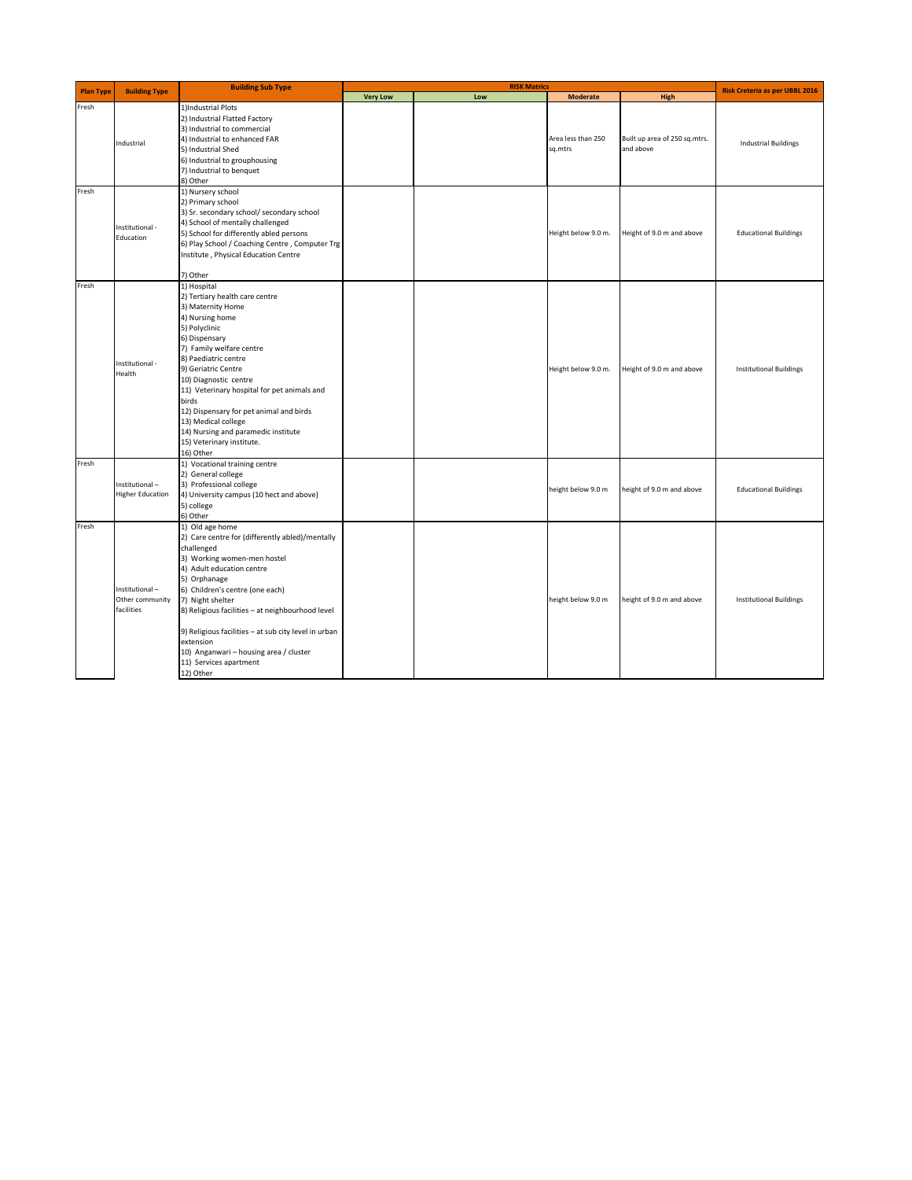| <b>Plan Type</b> | <b>Building Type</b>                            | <b>Building Sub Type</b>                                                                                                                                                                                                                                                                                                                                                                                                               | <b>RISK Matrics</b> |     |                               |                                            | Risk Creteria as per UBBL 2016 |
|------------------|-------------------------------------------------|----------------------------------------------------------------------------------------------------------------------------------------------------------------------------------------------------------------------------------------------------------------------------------------------------------------------------------------------------------------------------------------------------------------------------------------|---------------------|-----|-------------------------------|--------------------------------------------|--------------------------------|
|                  |                                                 |                                                                                                                                                                                                                                                                                                                                                                                                                                        | <b>Very Low</b>     | Low | <b>Moderate</b>               | High                                       |                                |
| Fresh            | Industrial                                      | 1)Industrial Plots<br>2) Industrial Flatted Factory<br>3) Industrial to commercial<br>4) Industrial to enhanced FAR<br>5) Industrial Shed<br>6) Industrial to grouphousing<br>7) Industrial to benquet<br>8) Other                                                                                                                                                                                                                     |                     |     | Area less than 250<br>sq.mtrs | Built up area of 250 sq.mtrs.<br>and above | <b>Industrial Buildings</b>    |
| Fresh            | Institutional -<br>Education                    | 1) Nursery school<br>2) Primary school<br>3) Sr. secondary school/ secondary school<br>4) School of mentally challenged<br>5) School for differently abled persons<br>6) Play School / Coaching Centre, Computer Trg<br>Institute, Physical Education Centre<br>7) Other                                                                                                                                                               |                     |     | Height below 9.0 m.           | Height of 9.0 m and above                  | <b>Educational Buildings</b>   |
| Fresh            | Institutional -<br>Health                       | 1) Hospital<br>2) Tertiary health care centre<br>3) Maternity Home<br>4) Nursing home<br>5) Polyclinic<br>6) Dispensary<br>7) Family welfare centre<br>8) Paediatric centre<br>9) Geriatric Centre<br>10) Diagnostic centre<br>11) Veterinary hospital for pet animals and<br>birds<br>12) Dispensary for pet animal and birds<br>13) Medical college<br>14) Nursing and paramedic institute<br>15) Veterinary institute.<br>16) Other |                     |     | Height below 9.0 m.           | Height of 9.0 m and above                  | <b>Institutional Buildings</b> |
| Fresh            | Institutional-<br><b>Higher Education</b>       | 1) Vocational training centre<br>2) General college<br>3) Professional college<br>4) University campus (10 hect and above)<br>5) college<br>6) Other                                                                                                                                                                                                                                                                                   |                     |     | height below 9.0 m            | height of 9.0 m and above                  | <b>Educational Buildings</b>   |
| Fresh            | Institutional-<br>Other community<br>facilities | 1) Old age home<br>2) Care centre for (differently abled)/mentally<br>challenged<br>3) Working women-men hostel<br>4) Adult education centre<br>5) Orphanage<br>6) Children's centre (one each)<br>7) Night shelter<br>8) Religious facilities - at neighbourhood level<br>9) Religious facilities - at sub city level in urban<br>extension<br>10) Anganwari - housing area / cluster<br>11) Services apartment<br>12) Other          |                     |     | height below 9.0 m            | height of 9.0 m and above                  | <b>Institutional Buildings</b> |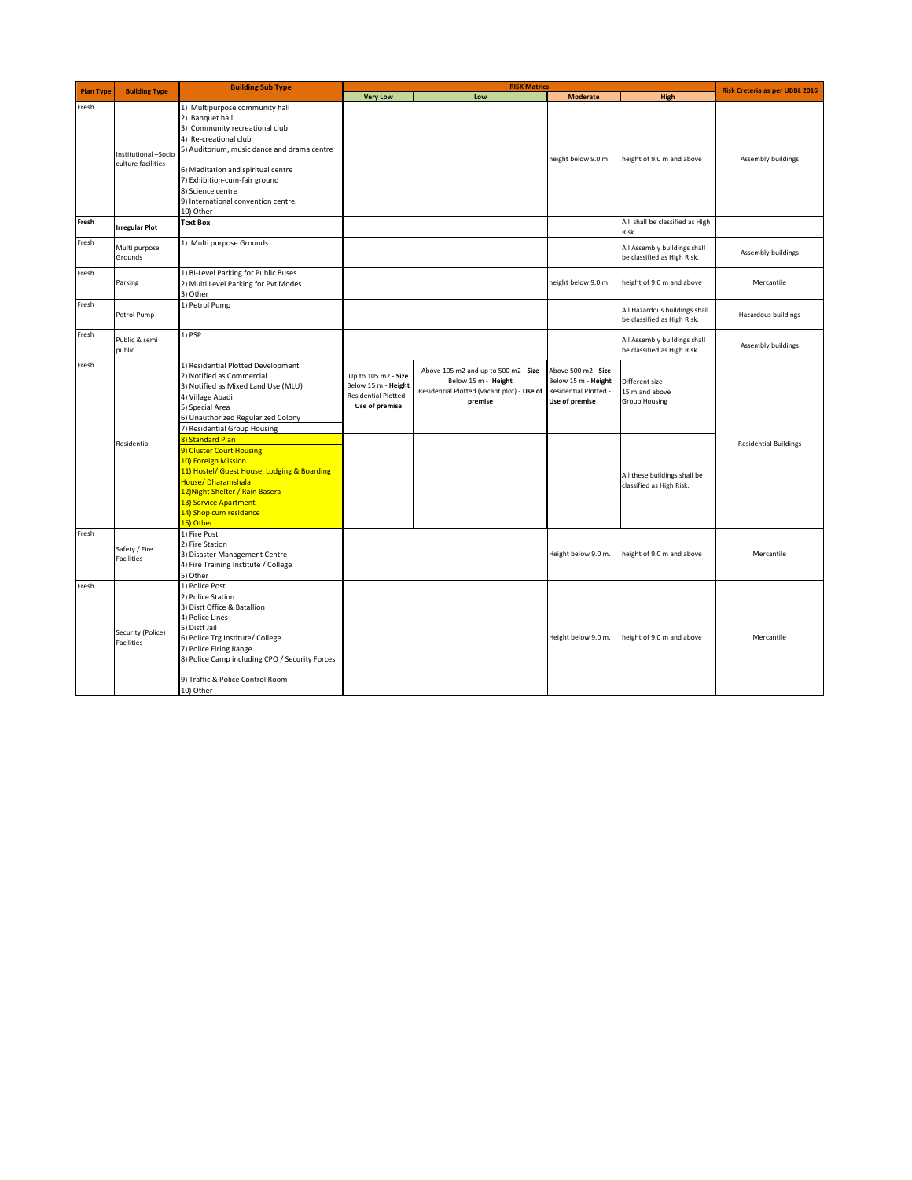| <b>Plan Type</b> | <b>Building Type</b>                       | <b>Building Sub Type</b>                                                                                                                                                                                                                                                                                    | <b>RISK Matrics</b>                                                                 |                                                                                                                      |                                                                                       |                                                              | Risk Creteria as per UBBL 2016 |
|------------------|--------------------------------------------|-------------------------------------------------------------------------------------------------------------------------------------------------------------------------------------------------------------------------------------------------------------------------------------------------------------|-------------------------------------------------------------------------------------|----------------------------------------------------------------------------------------------------------------------|---------------------------------------------------------------------------------------|--------------------------------------------------------------|--------------------------------|
|                  |                                            |                                                                                                                                                                                                                                                                                                             | <b>Very Low</b>                                                                     | Low                                                                                                                  | <b>Moderate</b>                                                                       | High                                                         |                                |
| Fresh            | Institutional -Socio<br>culture facilities | 1) Multipurpose community hall<br>2) Banquet hall<br>3) Community recreational club<br>4) Re-creational club<br>5) Auditorium, music dance and drama centre<br>6) Meditation and spiritual centre<br>7) Exhibition-cum-fair ground<br>8) Science centre<br>9) International convention centre.<br>10) Other |                                                                                     |                                                                                                                      | height below 9.0 m                                                                    | height of 9.0 m and above                                    | Assembly buildings             |
| Fresh            | <b>Irregular Plot</b>                      | <b>Text Box</b>                                                                                                                                                                                                                                                                                             |                                                                                     |                                                                                                                      |                                                                                       | All shall be classified as High<br>Risk.                     |                                |
| Fresh            | Multi purpose<br>Grounds                   | 1) Multi purpose Grounds                                                                                                                                                                                                                                                                                    |                                                                                     |                                                                                                                      |                                                                                       | All Assembly buildings shall<br>be classified as High Risk.  | Assembly buildings             |
| Fresh            | Parking                                    | 1) Bi-Level Parking for Public Buses<br>2) Multi Level Parking for Pvt Modes<br>3) Other                                                                                                                                                                                                                    |                                                                                     |                                                                                                                      | height below 9.0 m                                                                    | height of 9.0 m and above                                    | Mercantile                     |
| Fresh            | Petrol Pump                                | 1) Petrol Pump                                                                                                                                                                                                                                                                                              |                                                                                     |                                                                                                                      |                                                                                       | All Hazardous buildings shall<br>be classified as High Risk. | Hazardous buildings            |
| Fresh            | Public & semi<br>public                    | 1) PSP                                                                                                                                                                                                                                                                                                      |                                                                                     |                                                                                                                      |                                                                                       | All Assembly buildings shall<br>be classified as High Risk.  | Assembly buildings             |
| Fresh            |                                            | 1) Residential Plotted Development<br>2) Notified as Commercial<br>3) Notified as Mixed Land Use (MLU)<br>4) Village Abadi<br>5) Special Area<br>6) Unauthorized Regularized Colony<br>7) Residential Group Housing                                                                                         | Up to 105 m2 - Size<br>Below 15 m - Height<br>Residential Plotted<br>Use of premise | Above 105 m2 and up to 500 m2 - Size<br>Below 15 m - Height<br>Residential Plotted (vacant plot) - Use of<br>premise | Above 500 m2 - Size<br>Below 15 m - Height<br>Residential Plotted -<br>Use of premise | Different size<br>15 m and above<br><b>Group Housing</b>     |                                |
|                  | Residential                                | 8) Standard Plan<br>9) Cluster Court Housing<br>10) Foreign Mission<br>11) Hostel/ Guest House, Lodging & Boarding<br>House/Dharamshala<br>12) Night Shelter / Rain Basera<br>13) Service Apartment<br>14) Shop cum residence<br>15) Other                                                                  |                                                                                     |                                                                                                                      |                                                                                       | All these buildings shall be<br>classified as High Risk.     | <b>Residential Buildings</b>   |
| Fresh            | Safety / Fire<br>Facilities                | 1) Fire Post<br>2) Fire Station<br>3) Disaster Management Centre<br>4) Fire Training Institute / College<br>5) Other                                                                                                                                                                                        |                                                                                     |                                                                                                                      | Height below 9.0 m.                                                                   | height of 9.0 m and above                                    | Mercantile                     |
| Fresh            | Security (Police)<br>Facilities            | 1) Police Post<br>2) Police Station<br>3) Distt Office & Batallion<br>4) Police Lines<br>5) Distt Jail<br>6) Police Trg Institute/ College<br>7) Police Firing Range<br>8) Police Camp including CPO / Security Forces<br>9) Traffic & Police Control Room<br>10) Other                                     |                                                                                     |                                                                                                                      | Height below 9.0 m.                                                                   | height of 9.0 m and above                                    | Mercantile                     |